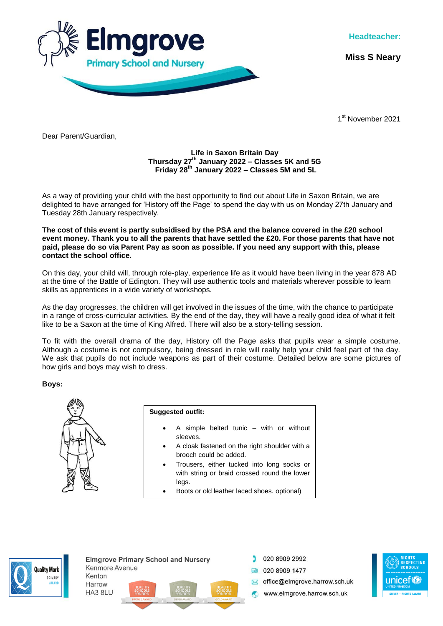

**Headteacher:**

**Miss S Neary**

1st November 2021

Dear Parent/Guardian,

## **Life in Saxon Britain Day Thursday 27th January 2022 – Classes 5K and 5G Friday 28th January 2022 – Classes 5M and 5L**

As a way of providing your child with the best opportunity to find out about Life in Saxon Britain, we are delighted to have arranged for 'History off the Page' to spend the day with us on Monday 27th January and Tuesday 28th January respectively.

**The cost of this event is partly subsidised by the PSA and the balance covered in the £20 school event money. Thank you to all the parents that have settled the £20. For those parents that have not paid, please do so via Parent Pay as soon as possible. If you need any support with this, please contact the school office.**

On this day, your child will, through role-play, experience life as it would have been living in the year 878 AD at the time of the Battle of Edington. They will use authentic tools and materials wherever possible to learn skills as apprentices in a wide variety of workshops.

As the day progresses, the children will get involved in the issues of the time, with the chance to participate in a range of cross-curricular activities. By the end of the day, they will have a really good idea of what it felt like to be a Saxon at the time of King Alfred. There will also be a story-telling session.

To fit with the overall drama of the day, History off the Page asks that pupils wear a simple costume. Although a costume is not compulsory, being dressed in role will really help your child feel part of the day. We ask that pupils do not include weapons as part of their costume. Detailed below are some pictures of how girls and boys may wish to dress.

**Boys:**



HA3 8LU

**Suggested outfit:** 

- A simple belted tunic with or without sleeves.
- A cloak fastened on the right shoulder with a brooch could be added.
- Trousers, either tucked into long socks or with string or braid crossed round the lower legs.
- Boots or old leather laced shoes. optional)



**Elmarove Primary School and Nursery** Kenmore Avenue Kenton Harrow



020 8909 2992 **ED** 020 8909 1477 office@eImgrove.harrow.sch.uk

www.elmgrove.harrow.sch.uk